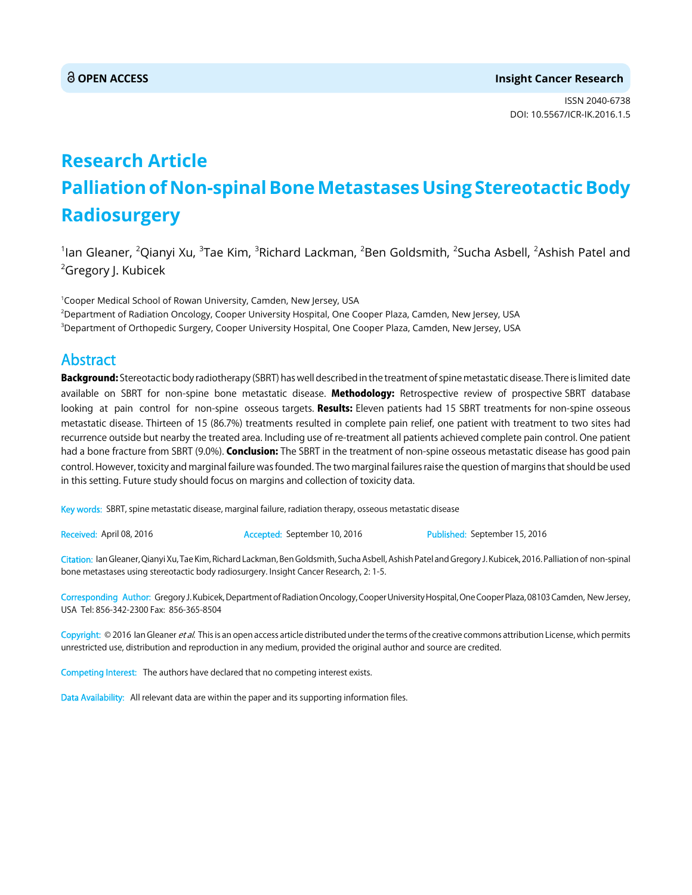ISSN 2040-6738 DOI: 10.5567/ICR-IK.2016.1.5

# **Research Article Palliation of Non-spinal Bone Metastases Using Stereotactic Body Radiosurgery**

 $^1$ lan Gleaner,  $^2$ Qianyi Xu,  $^3$ Tae Kim,  $^3$ Richard Lackman,  $^2$ Ben Goldsmith,  $^2$ Sucha Asbell,  $^2$ Ashish Patel and <sup>2</sup>Gregory J. Kubicek

<sup>1</sup>Cooper Medical School of Rowan University, Camden, New Jersey, USA 2 Department of Radiation Oncology, Cooper University Hospital, One Cooper Plaza, Camden, New Jersey, USA 3 Department of Orthopedic Surgery, Cooper University Hospital, One Cooper Plaza, Camden, New Jersey, USA

## Abstract

Background: Stereotactic body radiotherapy (SBRT) has well described in the treatment of spine metastatic disease. There is limited date available on SBRT for non-spine bone metastatic disease. Methodology: Retrospective review of prospective SBRT database looking at pain control for non-spine osseous targets. Results: Eleven patients had 15 SBRT treatments for non-spine osseous metastatic disease. Thirteen of 15 (86.7%) treatments resulted in complete pain relief, one patient with treatment to two sites had recurrence outside but nearby the treated area. Including use of re-treatment all patients achieved complete pain control. One patient had a bone fracture from SBRT (9.0%). Conclusion: The SBRT in the treatment of non-spine osseous metastatic disease has good pain control. However, toxicity and marginal failure was founded. The two marginal failures raise the question of margins that should be used in this setting. Future study should focus on margins and collection of toxicity data.

Key words: SBRT, spine metastatic disease, marginal failure, radiation therapy, osseous metastatic disease

Received: April 08, 2016 **Accepted: September 10, 2016** Published: September 15, 2016

Citation: Ian Gleaner, Qianyi Xu, Tae Kim, Richard Lackman, Ben Goldsmith, Sucha Asbell, Ashish Patel and Gregory J. Kubicek, 2016. Palliation of non-spinal bone metastases using stereotactic body radiosurgery. Insight Cancer Research, 2: 1-5.

Corresponding Author: Gregory J. Kubicek, Department of Radiation Oncology, Cooper University Hospital, One Cooper Plaza, 08103 Camden, New Jersey, USA Tel: 856-342-2300 Fax: 856-365-8504

Copyright: © 2016 Ian Gleaner et al. This is an open access article distributed under the terms of the creative commons attribution License, which permits unrestricted use, distribution and reproduction in any medium, provided the original author and source are credited.

Competing Interest: The authors have declared that no competing interest exists.

Data Availability: All relevant data are within the paper and its supporting information files.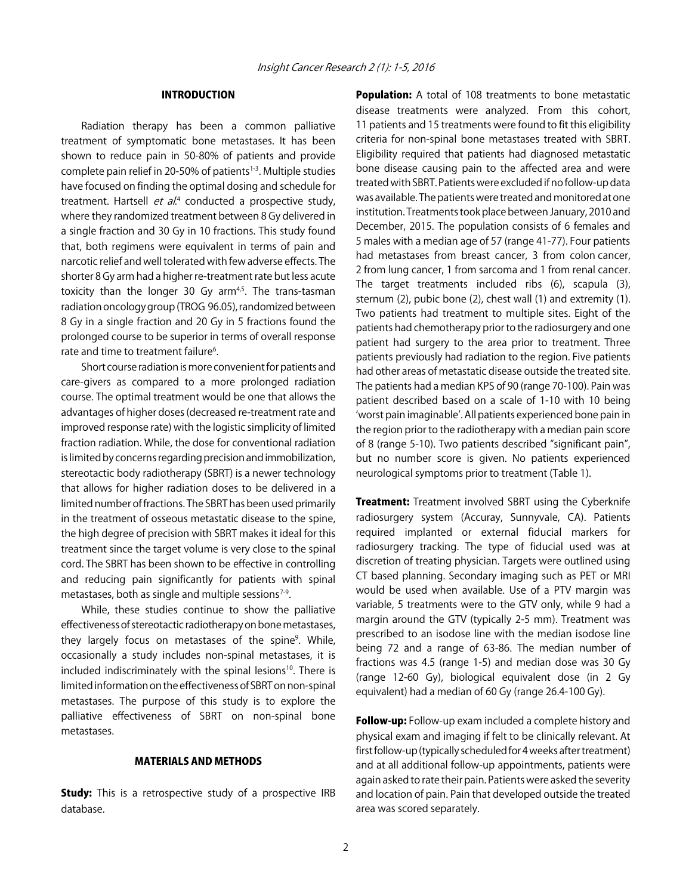### INTRODUCTION

Radiation therapy has been a common palliative treatment of symptomatic bone metastases. It has been shown to reduce pain in 50-80% of patients and provide complete pain relief in 20-50% of patients<sup>1-3</sup>. Multiple studies have focused on finding the optimal dosing and schedule for treatment. Hartsell *et al.*<sup>4</sup> conducted a prospective study, where they randomized treatment between 8 Gy delivered in a single fraction and 30 Gy in 10 fractions. This study found that, both regimens were equivalent in terms of pain and narcotic relief and well tolerated with few adverse effects. The shorter 8 Gy arm had a higher re-treatment rate but less acute toxicity than the longer 30 Gy  $arm<sup>4,5</sup>$ . The trans-tasman radiation oncology group (TROG 96.05), randomized between 8 Gy in a single fraction and 20 Gy in 5 fractions found the prolonged course to be superior in terms of overall response rate and time to treatment failure<sup>6</sup>.

Short course radiation is more convenient for patients and care-givers as compared to a more prolonged radiation course. The optimal treatment would be one that allows the advantages of higher doses (decreased re-treatment rate and improved response rate) with the logistic simplicity of limited fraction radiation. While, the dose for conventional radiation is limited by concerns regarding precision and immobilization, stereotactic body radiotherapy (SBRT) is a newer technology that allows for higher radiation doses to be delivered in a limited number of fractions. The SBRT has been used primarily in the treatment of osseous metastatic disease to the spine, the high degree of precision with SBRT makes it ideal for this treatment since the target volume is very close to the spinal cord. The SBRT has been shown to be effective in controlling and reducing pain significantly for patients with spinal metastases, both as single and multiple sessions $7-9$ .

While, these studies continue to show the palliative effectiveness of stereotactic radiotherapy on bone metastases, they largely focus on metastases of the spine<sup>9</sup>. While, occasionally a study includes non-spinal metastases, it is included indiscriminately with the spinal lesions<sup>10</sup>. There is limited information on the effectiveness of SBRT on non-spinal metastases. The purpose of this study is to explore the palliative effectiveness of SBRT on non-spinal bone metastases.

#### MATERIALS AND METHODS

**Study:** This is a retrospective study of a prospective IRB database.

**Population:** A total of 108 treatments to bone metastatic disease treatments were analyzed. From this cohort, 11 patients and 15 treatments were found to fit this eligibility criteria for non-spinal bone metastases treated with SBRT. Eligibility required that patients had diagnosed metastatic bone disease causing pain to the affected area and were treated with SBRT. Patients were excluded if no follow-up data was available. The patients were treated and monitored at one institution. Treatments took place between January, 2010 and December, 2015. The population consists of 6 females and 5 males with a median age of 57 (range 41-77). Four patients had metastases from breast cancer, 3 from colon cancer, 2 from lung cancer, 1 from sarcoma and 1 from renal cancer. The target treatments included ribs (6), scapula (3), sternum (2), pubic bone (2), chest wall (1) and extremity (1). Two patients had treatment to multiple sites. Eight of the patients had chemotherapy prior to the radiosurgery and one patient had surgery to the area prior to treatment. Three patients previously had radiation to the region. Five patients had other areas of metastatic disease outside the treated site. The patients had a median KPS of 90 (range 70-100). Pain was patient described based on a scale of 1-10 with 10 being ʻworst pain imaginable'. All patients experienced bone pain in the region prior to the radiotherapy with a median pain score of 8 (range 5-10). Two patients described "significant pain", but no number score is given. No patients experienced neurological symptoms prior to treatment (Table 1).

Treatment: Treatment involved SBRT using the Cyberknife radiosurgery system (Accuray, Sunnyvale, CA). Patients required implanted or external fiducial markers for radiosurgery tracking. The type of fiducial used was at discretion of treating physician. Targets were outlined using CT based planning. Secondary imaging such as PET or MRI would be used when available. Use of a PTV margin was variable, 5 treatments were to the GTV only, while 9 had a margin around the GTV (typically 2-5 mm). Treatment was prescribed to an isodose line with the median isodose line being 72 and a range of 63-86. The median number of fractions was 4.5 (range 1-5) and median dose was 30 Gy (range 12-60 Gy), biological equivalent dose (in 2 Gy equivalent) had a median of 60 Gy (range 26.4-100 Gy).

Follow-up: Follow-up exam included a complete history and physical exam and imaging if felt to be clinically relevant. At first follow-up (typically scheduled for 4 weeks after treatment) and at all additional follow-up appointments, patients were again asked to rate their pain. Patients were asked the severity and location of pain. Pain that developed outside the treated area was scored separately.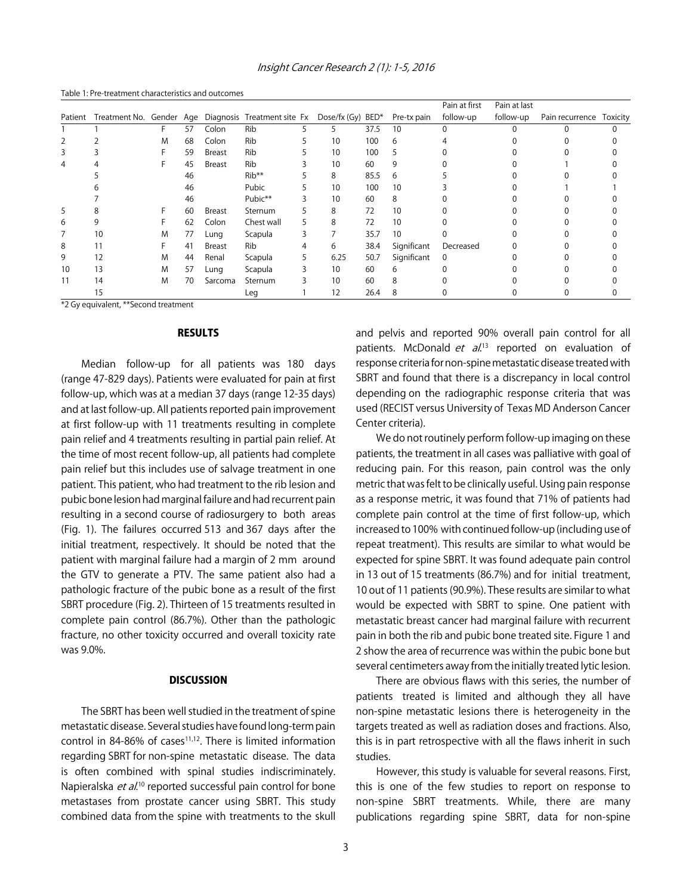Insight Cancer Research 2 (1): 1-5, 2016

|         |    |   |    |               |                                                      |   |                   |      |             | Pain at first | Pain at last |                          |  |
|---------|----|---|----|---------------|------------------------------------------------------|---|-------------------|------|-------------|---------------|--------------|--------------------------|--|
| Patient |    |   |    |               | Treatment No. Gender Age Diagnosis Treatment site Fx |   | Dose/fx (Gy) BED* |      | Pre-tx pain | follow-up     | follow-up    | Pain recurrence Toxicity |  |
|         |    |   | 57 | Colon         | Rib                                                  |   | 5                 | 37.5 | 10          |               |              |                          |  |
| 2       |    | M | 68 | Colon         | Rib                                                  |   | 10                | 100  | 6           |               |              |                          |  |
| 3       |    |   | 59 | Breast        | Rib                                                  |   | 10                | 100  | 5           |               |              |                          |  |
| 4       |    |   | 45 | <b>Breast</b> | Rib                                                  |   | 10                | 60   | 9           |               |              |                          |  |
|         |    |   | 46 |               | $Rib**$                                              |   | 8                 | 85.5 | 6           |               |              |                          |  |
|         |    |   | 46 |               | Pubic                                                |   | 10                | 100  | 10          |               |              |                          |  |
|         |    |   | 46 |               | Pubic**                                              |   | 10                | 60   | 8           |               |              |                          |  |
| 5       |    |   | 60 | <b>Breast</b> | Sternum                                              |   | 8                 | 72   | 10          |               |              |                          |  |
| 6       |    |   | 62 | Colon         | Chest wall                                           |   | 8                 | 72   | 10          |               |              |                          |  |
|         | 10 | M | 77 | Lung          | Scapula                                              | 3 |                   | 35.7 | 10          |               |              |                          |  |
| 8       | 11 |   | 41 | <b>Breast</b> | Rib                                                  |   | 6                 | 38.4 | Significant | Decreased     |              |                          |  |
| 9       | 12 | M | 44 | Renal         | Scapula                                              |   | 6.25              | 50.7 | Significant | $\mathbf 0$   |              |                          |  |
| 10      | 13 | M | 57 | Lung          | Scapula                                              |   | 10                | 60   | 6           |               |              |                          |  |
| 11      | 14 | M | 70 | Sarcoma       | Sternum                                              |   | 10                | 60   | 8           |               |              |                          |  |
|         | 15 |   |    |               | Leg                                                  |   | 12                | 26.4 | 8           |               |              |                          |  |

Table 1: Pre-treatment characteristics and outcomes

\*2 Gy equivalent, \*\*Second treatment

#### **RESULTS**

Median follow-up for all patients was 180 days (range 47-829 days). Patients were evaluated for pain at first follow-up, which was at a median 37 days (range 12-35 days) and at last follow-up. All patients reported pain improvement at first follow-up with 11 treatments resulting in complete pain relief and 4 treatments resulting in partial pain relief. At the time of most recent follow-up, all patients had complete pain relief but this includes use of salvage treatment in one patient. This patient, who had treatment to the rib lesion and pubic bone lesion had marginal failure and had recurrent pain resulting in a second course of radiosurgery to both areas (Fig. 1). The failures occurred 513 and 367 days after the initial treatment, respectively. It should be noted that the patient with marginal failure had a margin of 2 mm around the GTV to generate a PTV. The same patient also had a pathologic fracture of the pubic bone as a result of the first SBRT procedure (Fig. 2). Thirteen of 15 treatments resulted in complete pain control (86.7%). Other than the pathologic fracture, no other toxicity occurred and overall toxicity rate was 9.0%.

#### **DISCUSSION**

The SBRT has been well studied in the treatment of spine metastatic disease. Several studies have found long-term pain control in 84-86% of cases $11,12$ . There is limited information regarding SBRT for non-spine metastatic disease. The data is often combined with spinal studies indiscriminately. Napieralska *et al*.<sup>10</sup> reported successful pain control for bone metastases from prostate cancer using SBRT. This study combined data from the spine with treatments to the skull

and pelvis and reported 90% overall pain control for all patients. McDonald *et al.*<sup>13</sup> reported on evaluation of response criteria for non-spine metastatic disease treated with SBRT and found that there is a discrepancy in local control depending on the radiographic response criteria that was used (RECIST versus University of Texas MD Anderson Cancer Center criteria).

We do not routinely perform follow-up imaging on these patients, the treatment in all cases was palliative with goal of reducing pain. For this reason, pain control was the only metric that was felt to be clinically useful. Using pain response as a response metric, it was found that 71% of patients had complete pain control at the time of first follow-up, which increased to 100% with continued follow-up (including use of repeat treatment). This results are similar to what would be expected for spine SBRT. It was found adequate pain control in 13 out of 15 treatments (86.7%) and for initial treatment, 10 out of 11 patients (90.9%). These results are similar to what would be expected with SBRT to spine. One patient with metastatic breast cancer had marginal failure with recurrent pain in both the rib and pubic bone treated site. Figure 1 and 2 show the area of recurrence was within the pubic bone but several centimeters away from the initially treated lytic lesion.

There are obvious flaws with this series, the number of patients treated is limited and although they all have non-spine metastatic lesions there is heterogeneity in the targets treated as well as radiation doses and fractions. Also, this is in part retrospective with all the flaws inherit in such studies.

However, this study is valuable for several reasons. First, this is one of the few studies to report on response to non-spine SBRT treatments. While, there are many publications regarding spine SBRT, data for non-spine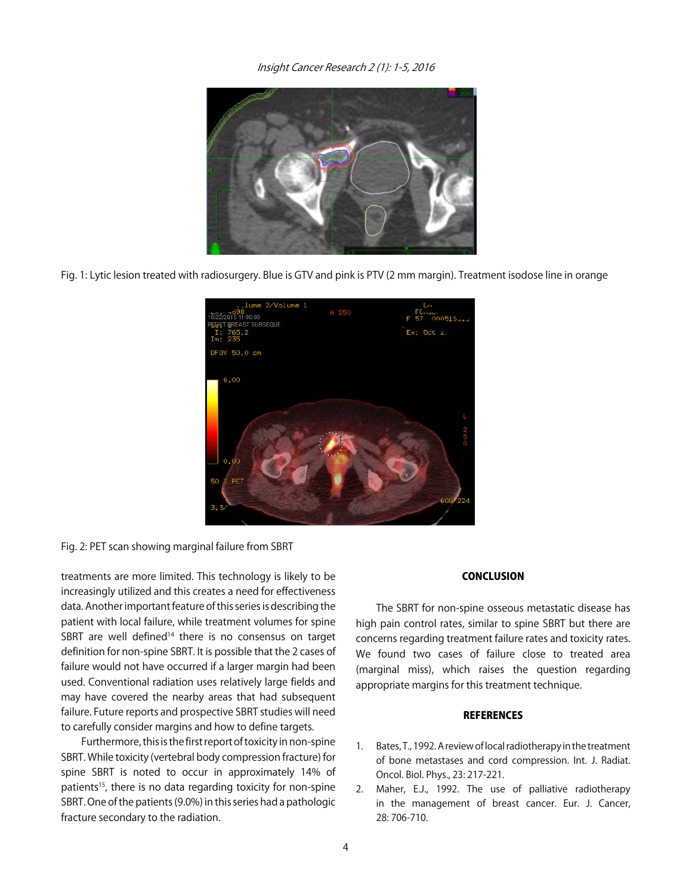Insight Cancer Research 2 (1): 1-5, 2016



Fig. 1: Lytic lesion treated with radiosurgery. Blue is GTV and pink is PTV (2 mm margin). Treatment isodose line in orange

| . . lume 2/Volume 1<br>10/22/2015 11:06:00<br>PET GT BREAST SUBSEQUE<br>I: 765.2<br>Im: 235<br>DF0V 50.0 cm | A 250 | С'n<br>Е<br>$Ex:$ Oct 2. |
|-------------------------------------------------------------------------------------------------------------|-------|--------------------------|
| 6.00<br>0,00<br>50<br>PET<br>3.3/                                                                           |       | $\frac{2}{3}$<br>600/224 |

Fig. 2: PET scan showing marginal failure from SBRT

treatments are more limited. This technology is likely to be increasingly utilized and this creates a need for effectiveness data. Another important feature of this series is describing the patient with local failure, while treatment volumes for spine SBRT are well defined<sup>14</sup> there is no consensus on target definition for non-spine SBRT. It is possible that the 2 cases of failure would not have occurred if a larger margin had been used. Conventional radiation uses relatively large fields and may have covered the nearby areas that had subsequent failure. Future reports and prospective SBRT studies will need to carefully consider margins and how to define targets.

Furthermore, this is the first report of toxicity in non-spine SBRT. While toxicity (vertebral body compression fracture) for spine SBRT is noted to occur in approximately 14% of patients<sup>15</sup>, there is no data regarding toxicity for non-spine SBRT. One of the patients (9.0%) in this series had a pathologic fracture secondary to the radiation.

#### **CONCLUSION**

The SBRT for non-spine osseous metastatic disease has high pain control rates, similar to spine SBRT but there are concerns regarding treatment failure rates and toxicity rates. We found two cases of failure close to treated area (marginal miss), which raises the question regarding appropriate margins for this treatment technique.

#### **REFERENCES**

- 1. Bates, T., 1992. A review of local radiotherapy in the treatment of bone metastases and cord compression. Int. J. Radiat. Oncol. Biol. Phys., 23: 217-221.
- 2. Maher, E.J., 1992. The use of palliative radiotherapy in the management of breast cancer. Eur. J. Cancer, 28: 706-710.